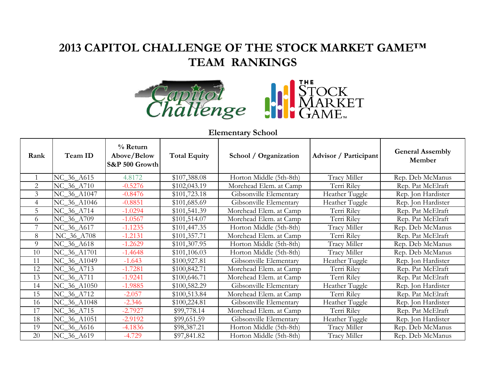## **2013 CAPITOL CHALLENGE OF THE STOCK MARKET GAME™ TEAM RANKINGS**





| Rank           | Team ID     | $%$ Return<br>Above/Below<br>S&P 500 Growth | <b>Total Equity</b> | School / Organization   | <b>Advisor</b> / Participant | <b>General Assembly</b><br>Member |
|----------------|-------------|---------------------------------------------|---------------------|-------------------------|------------------------------|-----------------------------------|
|                | NC_36_A615  | 4.8172                                      | \$107,388.08        | Horton Middle (5th-8th) | Tracy Miller                 | Rep. Deb McManus                  |
| $\overline{2}$ | NC 36 A710  | $-0.5276$                                   | \$102,043.19        | Morehead Elem. at Camp  | Terri Riley                  | Rep. Pat McElraft                 |
| $\overline{3}$ | NC_36_A1047 | $-0.8476$                                   | \$101,723.18        | Gibsonville Elementary  | Heather Tuggle               | Rep. Jon Hardister                |
| $\overline{4}$ | NC_36_A1046 | $-0.8851$                                   | \$101,685.69        | Gibsonville Elementary  | Heather Tuggle               | Rep. Jon Hardister                |
| 5              | NC_36_A714  | $-1.0294$                                   | \$101,541.39        | Morehead Elem. at Camp  | Terri Riley                  | Rep. Pat McElraft                 |
| 6              | NC_36_A709  | $-1.0567$                                   | \$101,514.07        | Morehead Elem. at Camp  | Terri Riley                  | Rep. Pat McElraft                 |
| 7              | NC_36_A617  | $-1.1235$                                   | \$101,447.35        | Horton Middle (5th-8th) | Tracy Miller                 | Rep. Deb McManus                  |
| 8              | NC 36 A708  | $-1.2131$                                   | \$101,357.71        | Morehead Elem. at Camp  | Terri Riley                  | Rep. Pat McElraft                 |
| 9              | NC 36 A618  | $-1.2629$                                   | \$101,307.95        | Horton Middle (5th-8th) | Tracy Miller                 | Rep. Deb McManus                  |
| 10             | NC_36_A1701 | $-1.4648$                                   | \$101,106.03        | Horton Middle (5th-8th) | Tracy Miller                 | Rep. Deb McManus                  |
| 11             | NC_36_A1049 | $-1.643$                                    | \$100,927.81        | Gibsonville Elementary  | Heather Tuggle               | Rep. Jon Hardister                |
| 12             | NC_36_A713  | $-1.7281$                                   | \$100,842.71        | Morehead Elem. at Camp  | Terri Riley                  | Rep. Pat McElraft                 |
| 13             | NC_36_A711  | $-1.9241$                                   | \$100,646.71        | Morehead Elem. at Camp  | Terri Riley                  | Rep. Pat McElraft                 |
| 14             | NC_36_A1050 | $-1.9885$                                   | \$100,582.29        | Gibsonville Elementary  | Heather Tuggle               | Rep. Jon Hardister                |
| 15             | NC_36_A712  | $-2.057$                                    | \$100,513.84        | Morehead Elem. at Camp  | Terri Riley                  | Rep. Pat McElraft                 |
| 16             | NC_36_A1048 | $-2.346$                                    | \$100,224.81        | Gibsonville Elementary  | Heather Tuggle               | Rep. Jon Hardister                |
| 17             | NC_36_A715  | $-2.7927$                                   | \$99,778.14         | Morehead Elem. at Camp  | Terri Riley                  | Rep. Pat McElraft                 |
| 18             | NC_36_A1051 | $-2.9192$                                   | \$99,651.59         | Gibsonville Elementary  | Heather Tuggle               | Rep. Jon Hardister                |
| 19             | NC_36_A616  | $-4.1836$                                   | \$98,387.21         | Horton Middle (5th-8th) | Tracy Miller                 | Rep. Deb McManus                  |
| $20\,$         | NC_36_A619  | $-4.729$                                    | \$97,841.82         | Horton Middle (5th-8th) | Tracy Miller                 | Rep. Deb McManus                  |

## **Elementary School**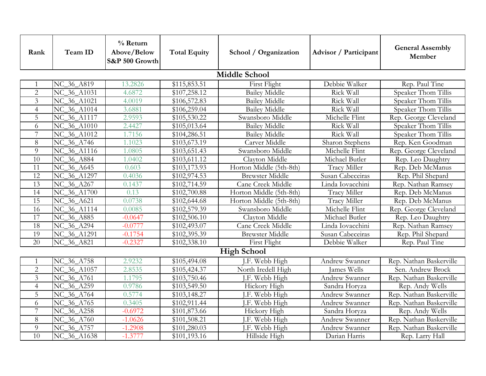| Rank                 | Team ID                           | $%$ Return<br>Above/Below<br>S&P 500 Growth | <b>Total Equity</b> | School / Organization   | <b>Advisor</b> / Participant | <b>General Assembly</b><br>Member |  |  |
|----------------------|-----------------------------------|---------------------------------------------|---------------------|-------------------------|------------------------------|-----------------------------------|--|--|
| <b>Middle School</b> |                                   |                                             |                     |                         |                              |                                   |  |  |
|                      | NC_36_A819                        | 13.2826                                     | \$115,853.51        | First Flight            | Debbie Walker                | Rep. Paul Tine                    |  |  |
| $\overline{2}$       | NC_36_A1031                       | 4.6872                                      | \$107,258.12        | <b>Bailey Middle</b>    | Rick Wall                    | Speaker Thom Tillis               |  |  |
| $\overline{3}$       | NC_36_A1021                       | 4.0019                                      | \$106,572.83        | <b>Bailey Middle</b>    | Rick Wall                    | Speaker Thom Tillis               |  |  |
| $\overline{4}$       | NC_36_A1014                       | 3.6881                                      | \$106,259.04        | <b>Bailey Middle</b>    | Rick Wall                    | Speaker Thom Tillis               |  |  |
| 5                    | NC_36_A1117                       | 2.9593                                      | \$105,530.22        | Swansboro Middle        | Michelle Flint               | Rep. George Cleveland             |  |  |
| 6                    | NC_36_A1010                       | 2.4427                                      | \$105,013.64        | <b>Bailey Middle</b>    | Rick Wall                    | Speaker Thom Tillis               |  |  |
| 7                    | NC_36_A1012                       | 1.7156                                      | \$104,286.51        | <b>Bailey Middle</b>    | Rick Wall                    | Speaker Thom Tillis               |  |  |
| 8                    | $\overline{\text{NC}\_36}\_A$ 746 | 1.1023                                      | \$103,673.19        | Carver Middle           | Sharon Stephens              | Rep. Ken Goodman                  |  |  |
| 9                    | NC_36_A1116                       | 1.0805                                      | \$103,651.43        | Swansboro Middle        | Michelle Flint               | Rep. George Cleveland             |  |  |
| 10                   | NC_36_A884                        | 1.0402                                      | \$103,611.12        | Clayton Middle          | Michael Butler               | Rep. Leo Daughtry                 |  |  |
| 11                   | NC_36_A645                        | 0.603                                       | \$103,173.93        | Horton Middle (5th-8th) | Tracy Miller                 | Rep. Deb McManus                  |  |  |
| 12                   | NC_36_A1297                       | 0.4036                                      | \$102,974.53        | <b>Brewster Middle</b>  | Susan Cabeceiras             | Rep. Phil Shepard                 |  |  |
| 13                   | NC_36_A267                        | 0.1437                                      | \$102,714.59        | Cane Creek Middle       | Linda Iovacchini             | Rep. Nathan Ramsey                |  |  |
| 14                   | NC_36_A1700                       | 0.13                                        | \$102,700.88        | Horton Middle (5th-8th) | Tracy Miller                 | Rep. Deb McManus                  |  |  |
| 15                   | NC_36_A621                        | 0.0738                                      | \$102,644.68        | Horton Middle (5th-8th) | Tracy Miller                 | Rep. Deb McManus                  |  |  |
| 16                   | NC_36_A1114                       | 0.0085                                      | \$102,579.39        | Swansboro Middle        | Michelle Flint               | Rep. George Cleveland             |  |  |
| $\overline{17}$      | NC_36_A885                        | $-0.0647$                                   | \$102,506.10        | Clayton Middle          | Michael Butler               | Rep. Leo Daughtry                 |  |  |
| 18                   | NC_36_A294                        | $-0.0777$                                   | \$102,493.07        | Cane Creek Middle       | Linda Iovacchini             | Rep. Nathan Ramsey                |  |  |
| 19                   | NC_36_A1291                       | $-0.1754$                                   | \$102,395.39        | <b>Brewster Middle</b>  | Susan Cabeceiras             | Rep. Phil Shepard                 |  |  |
| $\overline{20}$      | NC_36_A821                        | $-0.2327$                                   | \$102,338.10        | First Flight            | Debbie Walker                | Rep. Paul Tine                    |  |  |
| <b>High School</b>   |                                   |                                             |                     |                         |                              |                                   |  |  |
|                      | NC_36_A758                        | 2.9232                                      | \$105,494.08        | J.F. Webb High          | Andrew Swanner               | Rep. Nathan Baskerville           |  |  |
| $\overline{2}$       | NC_36_A1057                       | 2.8535                                      | \$105,424.37        | North Iredell High      | James Wells                  | Sen. Andrew Brock                 |  |  |
| 3                    | NC_36_A761                        | 1.1795                                      | \$103,750.46        | J.F. Webb High          | Andrew Swanner               | Rep. Nathan Baskerville           |  |  |
| $\overline{4}$       | NC_36_A259                        | 0.9786                                      | \$103,549.50        | Hickory High            | Sandra Horyza                | Rep. Andy Wells                   |  |  |
| 5                    | NC_36_A764                        | 0.5774                                      | \$103,148.27        | J.F. Webb High          | Andrew Swanner               | Rep. Nathan Baskerville           |  |  |
| 6                    | NC_36_A765                        | 0.3405                                      | \$102,911.44        | J.F. Webb High          | Andrew Swanner               | Rep. Nathan Baskerville           |  |  |
| 7                    | NC_36_A258                        | $-0.6972$                                   | \$101,873.66        | Hickory High            | Sandra Horyza                | Rep. Andy Wells                   |  |  |
| 8                    | NC_36_A760                        | $-1.0626$                                   | \$101,508.21        | I.F. Webb High          | Andrew Swanner               | Rep. Nathan Baskerville           |  |  |
| 9                    | NC_36_A757                        | $-1.2908$                                   | \$101,280.03        | I.F. Webb High          | Andrew Swanner               | Rep. Nathan Baskerville           |  |  |
| 10                   | NC_36_A1638                       | $-1.3777$                                   | \$101,193.16        | Hillside High           | Darian Harris                | Rep. Larry Hall                   |  |  |